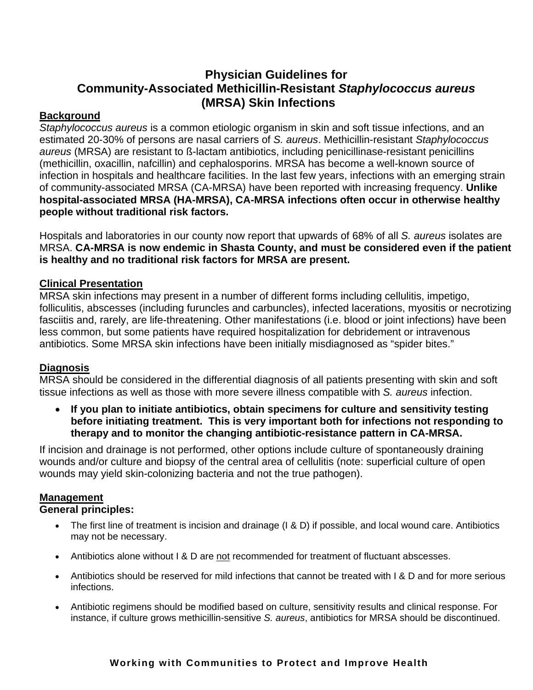# **Physician Guidelines for Community-Associated Methicillin-Resistant** *Staphylococcus aureus* **(MRSA) Skin Infections**

## **Background**

*Staphylococcus aureus* is a common etiologic organism in skin and soft tissue infections, and an estimated 20-30% of persons are nasal carriers of *S. aureus*. Methicillin-resistant *Staphylococcus aureus* (MRSA) are resistant to ß-lactam antibiotics, including penicillinase-resistant penicillins (methicillin, oxacillin, nafcillin) and cephalosporins. MRSA has become a well-known source of infection in hospitals and healthcare facilities. In the last few years, infections with an emerging strain of community-associated MRSA (CA-MRSA) have been reported with increasing frequency. **Unlike hospital-associated MRSA (HA-MRSA), CA-MRSA infections often occur in otherwise healthy people without traditional risk factors.** 

Hospitals and laboratories in our county now report that upwards of 68% of all *S. aureus* isolates are MRSA. **CA-MRSA is now endemic in Shasta County, and must be considered even if the patient is healthy and no traditional risk factors for MRSA are present.**

#### **Clinical Presentation**

MRSA skin infections may present in a number of different forms including cellulitis, impetigo, folliculitis, abscesses (including furuncles and carbuncles), infected lacerations, myositis or necrotizing fasciitis and, rarely, are life-threatening. Other manifestations (i.e. blood or joint infections) have been less common, but some patients have required hospitalization for debridement or intravenous antibiotics. Some MRSA skin infections have been initially misdiagnosed as "spider bites."

#### **Diagnosis**

MRSA should be considered in the differential diagnosis of all patients presenting with skin and soft tissue infections as well as those with more severe illness compatible with *S. aureus* infection.

• **If you plan to initiate antibiotics, obtain specimens for culture and sensitivity testing before initiating treatment. This is very important both for infections not responding to therapy and to monitor the changing antibiotic-resistance pattern in CA-MRSA.** 

If incision and drainage is not performed, other options include culture of spontaneously draining wounds and/or culture and biopsy of the central area of cellulitis (note: superficial culture of open wounds may yield skin-colonizing bacteria and not the true pathogen).

#### **Management General principles:**

- The first line of treatment is incision and drainage (I & D) if possible, and local wound care. Antibiotics may not be necessary.
- Antibiotics alone without I & D are not recommended for treatment of fluctuant abscesses.
- Antibiotics should be reserved for mild infections that cannot be treated with I & D and for more serious infections.
- Antibiotic regimens should be modified based on culture, sensitivity results and clinical response. For instance, if culture grows methicillin-sensitive *S. aureus*, antibiotics for MRSA should be discontinued.